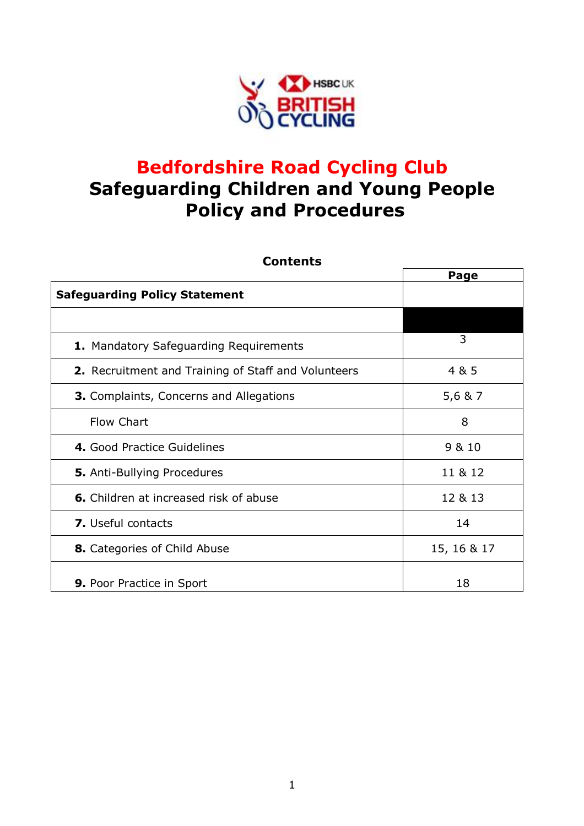

# **Bedfordshire Road Cycling Club Safeguarding Children and Young People Policy and Procedures**

| <b>Contents</b>                                     |             |
|-----------------------------------------------------|-------------|
|                                                     | Page        |
| <b>Safeguarding Policy Statement</b>                |             |
|                                                     |             |
| 1. Mandatory Safeguarding Requirements              | 3           |
| 2. Recruitment and Training of Staff and Volunteers | 4 & 5       |
| <b>3.</b> Complaints, Concerns and Allegations      | 5,6 & 7     |
| Flow Chart                                          | 8           |
| 4. Good Practice Guidelines                         | 9 & 10      |
| <b>5.</b> Anti-Bullying Procedures                  | 11 & 12     |
| 6. Children at increased risk of abuse              | 12 & 13     |
| <b>7.</b> Useful contacts                           | 14          |
| <b>8.</b> Categories of Child Abuse                 | 15, 16 & 17 |
| <b>9.</b> Poor Practice in Sport                    | 18          |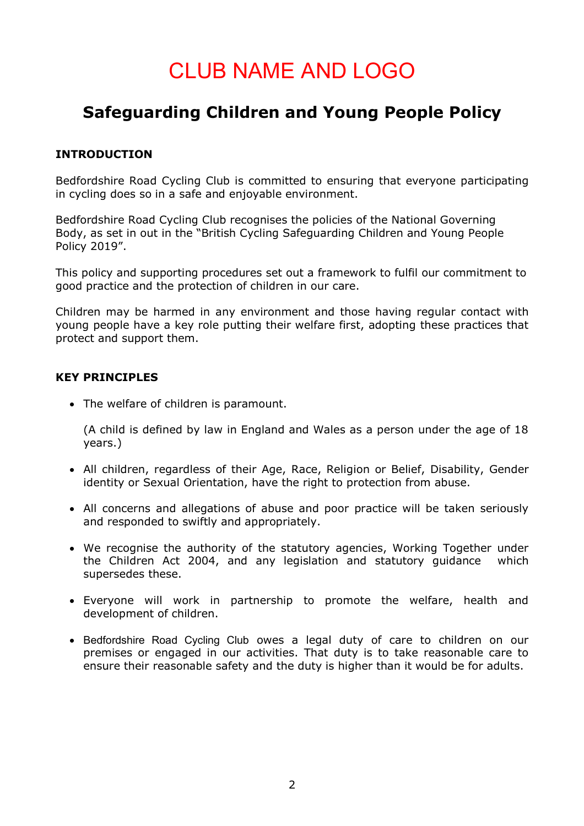# CLUB NAME AND LOGO

# **Safeguarding Children and Young People Policy**

#### **INTRODUCTION**

Bedfordshire Road Cycling Club is committed to ensuring that everyone participating in cycling does so in a safe and enjoyable environment.

Bedfordshire Road Cycling Club recognises the policies of the National Governing Body, as set in out in the "British Cycling Safeguarding Children and Young People Policy 2019".

This policy and supporting procedures set out a framework to fulfil our commitment to good practice and the protection of children in our care.

Children may be harmed in any environment and those having regular contact with young people have a key role putting their welfare first, adopting these practices that protect and support them.

#### **KEY PRINCIPLES**

• The welfare of children is paramount.

(A child is defined by law in England and Wales as a person under the age of 18 years.)

- All children, regardless of their Age, Race, Religion or Belief, Disability, Gender identity or Sexual Orientation, have the right to protection from abuse.
- All concerns and allegations of abuse and poor practice will be taken seriously and responded to swiftly and appropriately.
- We recognise the authority of the statutory agencies, Working Together under the Children Act 2004, and any legislation and statutory guidance which supersedes these.
- Everyone will work in partnership to promote the welfare, health and development of children.
- Bedfordshire Road Cycling Club owes a legal duty of care to children on our premises or engaged in our activities. That duty is to take reasonable care to ensure their reasonable safety and the duty is higher than it would be for adults.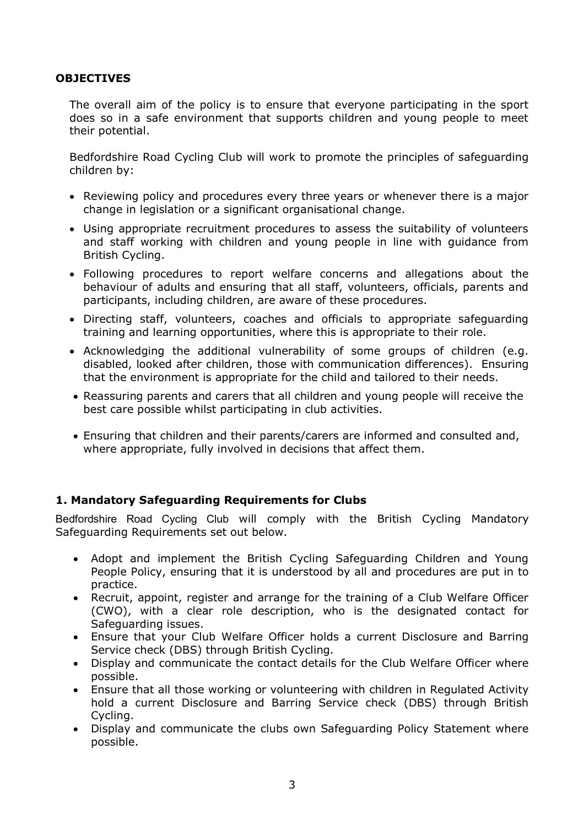#### **OBJECTIVES**

The overall aim of the policy is to ensure that everyone participating in the sport does so in a safe environment that supports children and young people to meet their potential.

Bedfordshire Road Cycling Club will work to promote the principles of safeguarding children by:

- Reviewing policy and procedures every three years or whenever there is a major change in legislation or a significant organisational change.
- Using appropriate recruitment procedures to assess the suitability of volunteers and staff working with children and young people in line with guidance from British Cycling.
- Following procedures to report welfare concerns and allegations about the behaviour of adults and ensuring that all staff, volunteers, officials, parents and participants, including children, are aware of these procedures.
- Directing staff, volunteers, coaches and officials to appropriate safeguarding training and learning opportunities, where this is appropriate to their role.
- Acknowledging the additional vulnerability of some groups of children (e.g. disabled, looked after children, those with communication differences). Ensuring that the environment is appropriate for the child and tailored to their needs.
- Reassuring parents and carers that all children and young people will receive the best care possible whilst participating in club activities.
- Ensuring that children and their parents/carers are informed and consulted and, where appropriate, fully involved in decisions that affect them.

#### **1. Mandatory Safeguarding Requirements for Clubs**

Bedfordshire Road Cycling Club will comply with the British Cycling Mandatory Safeguarding Requirements set out below.

- Adopt and implement the British Cycling Safeguarding Children and Young People Policy, ensuring that it is understood by all and procedures are put in to practice.
- Recruit, appoint, register and arrange for the training of a Club Welfare Officer (CWO), with a clear role description, who is the designated contact for Safeguarding issues.
- Ensure that your Club Welfare Officer holds a current Disclosure and Barring Service check (DBS) through British Cycling.
- Display and communicate the contact details for the Club Welfare Officer where possible.
- Ensure that all those working or volunteering with children in Regulated Activity hold a current Disclosure and Barring Service check (DBS) through British Cycling.
- Display and communicate the clubs own Safeguarding Policy Statement where possible.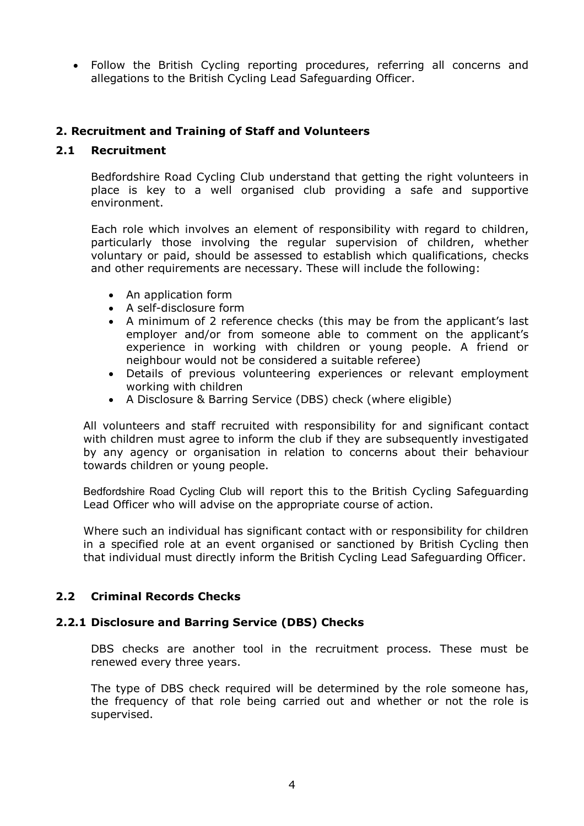Follow the British Cycling reporting procedures, referring all concerns and allegations to the British Cycling Lead Safeguarding Officer.

#### **2. Recruitment and Training of Staff and Volunteers**

#### **2.1 Recruitment**

Bedfordshire Road Cycling Club understand that getting the right volunteers in place is key to a well organised club providing a safe and supportive environment.

Each role which involves an element of responsibility with regard to children, particularly those involving the regular supervision of children, whether voluntary or paid, should be assessed to establish which qualifications, checks and other requirements are necessary. These will include the following:

- An application form
- A self-disclosure form
- A minimum of 2 reference checks (this may be from the applicant's last employer and/or from someone able to comment on the applicant's experience in working with children or young people. A friend or neighbour would not be considered a suitable referee)
- Details of previous volunteering experiences or relevant employment working with children
- A Disclosure & Barring Service (DBS) check (where eligible)

All volunteers and staff recruited with responsibility for and significant contact with children must agree to inform the club if they are subsequently investigated by any agency or organisation in relation to concerns about their behaviour towards children or young people.

Bedfordshire Road Cycling Club will report this to the British Cycling Safeguarding Lead Officer who will advise on the appropriate course of action.

Where such an individual has significant contact with or responsibility for children in a specified role at an event organised or sanctioned by British Cycling then that individual must directly inform the British Cycling Lead Safeguarding Officer.

#### **2.2 Criminal Records Checks**

#### **2.2.1 Disclosure and Barring Service (DBS) Checks**

DBS checks are another tool in the recruitment process. These must be renewed every three years.

The type of DBS check required will be determined by the role someone has, the frequency of that role being carried out and whether or not the role is supervised.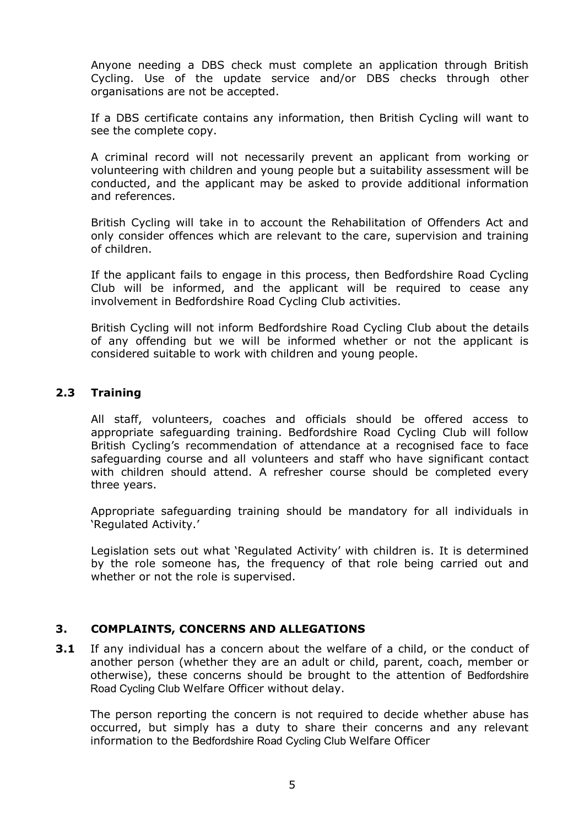Anyone needing a DBS check must complete an application through British Cycling. Use of the update service and/or DBS checks through other organisations are not be accepted.

If a DBS certificate contains any information, then British Cycling will want to see the complete copy.

A criminal record will not necessarily prevent an applicant from working or volunteering with children and young people but a suitability assessment will be conducted, and the applicant may be asked to provide additional information and references.

British Cycling will take in to account the Rehabilitation of Offenders Act and only consider offences which are relevant to the care, supervision and training of children.

If the applicant fails to engage in this process, then Bedfordshire Road Cycling Club will be informed, and the applicant will be required to cease any involvement in Bedfordshire Road Cycling Club activities.

British Cycling will not inform Bedfordshire Road Cycling Club about the details of any offending but we will be informed whether or not the applicant is considered suitable to work with children and young people.

#### **2.3 Training**

All staff, volunteers, coaches and officials should be offered access to appropriate safeguarding training. Bedfordshire Road Cycling Club will follow British Cycling's recommendation of attendance at a recognised face to face safeguarding course and all volunteers and staff who have significant contact with children should attend. A refresher course should be completed every three years.

Appropriate safeguarding training should be mandatory for all individuals in 'Regulated Activity.'

Legislation sets out what 'Regulated Activity' with children is. It is determined by the role someone has, the frequency of that role being carried out and whether or not the role is supervised.

#### **3. COMPLAINTS, CONCERNS AND ALLEGATIONS**

**3.1** If any individual has a concern about the welfare of a child, or the conduct of another person (whether they are an adult or child, parent, coach, member or otherwise), these concerns should be brought to the attention of Bedfordshire Road Cycling Club Welfare Officer without delay.

The person reporting the concern is not required to decide whether abuse has occurred, but simply has a duty to share their concerns and any relevant information to the Bedfordshire Road Cycling Club Welfare Officer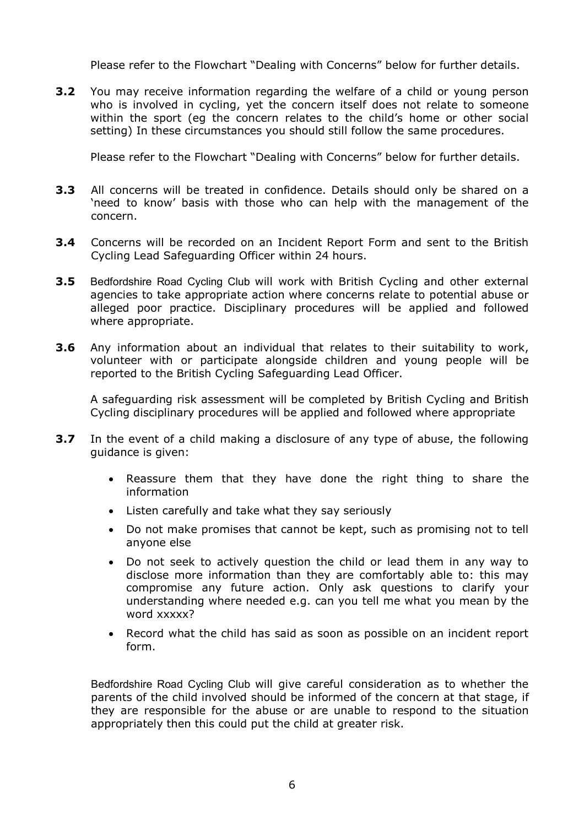Please refer to the Flowchart "Dealing with Concerns" below for further details.

**3.2** You may receive information regarding the welfare of a child or young person who is involved in cycling, yet the concern itself does not relate to someone within the sport (eg the concern relates to the child's home or other social setting) In these circumstances you should still follow the same procedures.

Please refer to the Flowchart "Dealing with Concerns" below for further details.

- **3.3** All concerns will be treated in confidence. Details should only be shared on a 'need to know' basis with those who can help with the management of the concern.
- **3.4** Concerns will be recorded on an Incident Report Form and sent to the British Cycling Lead Safeguarding Officer within 24 hours.
- **3.5** Bedfordshire Road Cycling Club will work with British Cycling and other external agencies to take appropriate action where concerns relate to potential abuse or alleged poor practice. Disciplinary procedures will be applied and followed where appropriate.
- **3.6** Any information about an individual that relates to their suitability to work, volunteer with or participate alongside children and young people will be reported to the British Cycling Safeguarding Lead Officer.

A safeguarding risk assessment will be completed by British Cycling and British Cycling disciplinary procedures will be applied and followed where appropriate

- **3.7** In the event of a child making a disclosure of any type of abuse, the following guidance is given:
	- Reassure them that they have done the right thing to share the information
	- Listen carefully and take what they say seriously
	- Do not make promises that cannot be kept, such as promising not to tell anyone else
	- Do not seek to actively question the child or lead them in any way to disclose more information than they are comfortably able to: this may compromise any future action. Only ask questions to clarify your understanding where needed e.g. can you tell me what you mean by the word xxxxx?
	- Record what the child has said as soon as possible on an incident report form.

Bedfordshire Road Cycling Club will give careful consideration as to whether the parents of the child involved should be informed of the concern at that stage, if they are responsible for the abuse or are unable to respond to the situation appropriately then this could put the child at greater risk.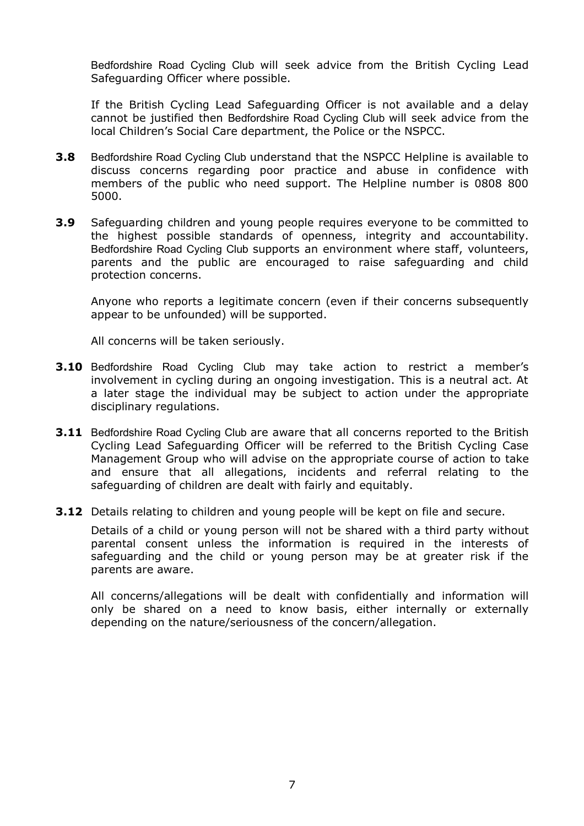Bedfordshire Road Cycling Club will seek advice from the British Cycling Lead Safeguarding Officer where possible.

If the British Cycling Lead Safeguarding Officer is not available and a delay cannot be justified then Bedfordshire Road Cycling Club will seek advice from the local Children's Social Care department, the Police or the NSPCC.

- **3.8** Bedfordshire Road Cycling Club understand that the NSPCC Helpline is available to discuss concerns regarding poor practice and abuse in confidence with members of the public who need support. The Helpline number is 0808 800 5000.
- **3.9** Safeguarding children and young people requires everyone to be committed to the highest possible standards of openness, integrity and accountability. Bedfordshire Road Cycling Club supports an environment where staff, volunteers, parents and the public are encouraged to raise safeguarding and child protection concerns.

Anyone who reports a legitimate concern (even if their concerns subsequently appear to be unfounded) will be supported.

All concerns will be taken seriously.

- **3.10** Bedfordshire Road Cycling Club may take action to restrict a member's involvement in cycling during an ongoing investigation. This is a neutral act. At a later stage the individual may be subject to action under the appropriate disciplinary regulations.
- **3.11** Bedfordshire Road Cycling Club are aware that all concerns reported to the British Cycling Lead Safeguarding Officer will be referred to the British Cycling Case Management Group who will advise on the appropriate course of action to take and ensure that all allegations, incidents and referral relating to the safeguarding of children are dealt with fairly and equitably.
- **3.12** Details relating to children and young people will be kept on file and secure.

Details of a child or young person will not be shared with a third party without parental consent unless the information is required in the interests of safeguarding and the child or young person may be at greater risk if the parents are aware.

All concerns/allegations will be dealt with confidentially and information will only be shared on a need to know basis, either internally or externally depending on the nature/seriousness of the concern/allegation.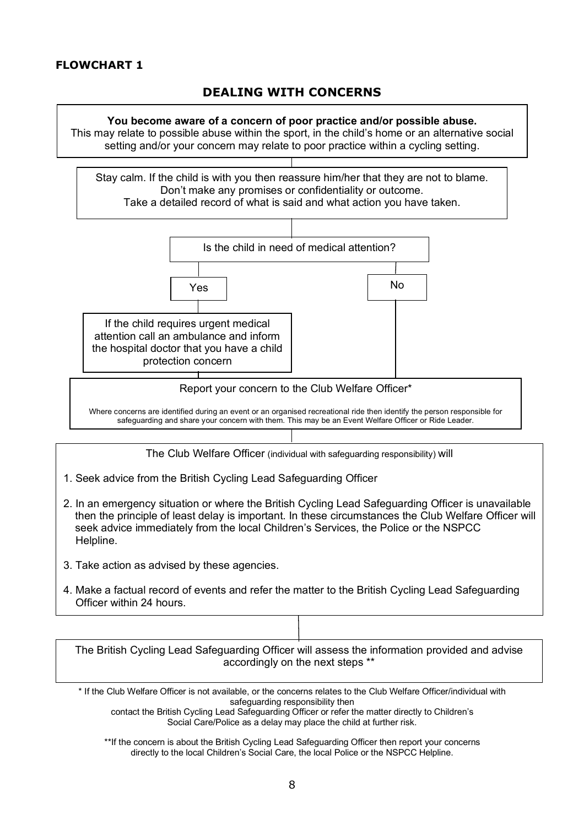# **DEALING WITH CONCERNS**

#### **You become aware of a concern of poor practice and/or possible abuse.**

This may relate to possible abuse within the sport, in the child's home or an alternative social setting and/or your concern may relate to poor practice within a cycling setting.

Stay calm. If the child is with you then reassure him/her that they are not to blame. Don't make any promises or confidentiality or outcome. Take a detailed record of what is said and what action you have taken.



Where concerns are identified during an event or an organised recreational ride then identify the person responsible for safeguarding and share your concern with them. This may be an Event Welfare Officer or Ride Leader.

The Club Welfare Officer (individual with safeguarding responsibility) will

- 1. Seek advice from the British Cycling Lead Safeguarding Officer
- 2. In an emergency situation or where the British Cycling Lead Safeguarding Officer is unavailable then the principle of least delay is important. In these circumstances the Club Welfare Officer will seek advice immediately from the local Children's Services, the Police or the NSPCC Helpline.
- 3. Take action as advised by these agencies.
- 4. Make a factual record of events and refer the matter to the British Cycling Lead Safeguarding Officer within 24 hours.

The British Cycling Lead Safeguarding Officer will assess the information provided and advise accordingly on the next steps \*\*

\* If the Club Welfare Officer is not available, or the concerns relates to the Club Welfare Officer/individual with safeguarding responsibility then

contact the British Cycling Lead Safeguarding Officer or refer the matter directly to Children's Social Care/Police as a delay may place the child at further risk.

\*\*If the concern is about the British Cycling Lead Safeguarding Officer then report your concerns directly to the local Children's Social Care, the local Police or the NSPCC Helpline.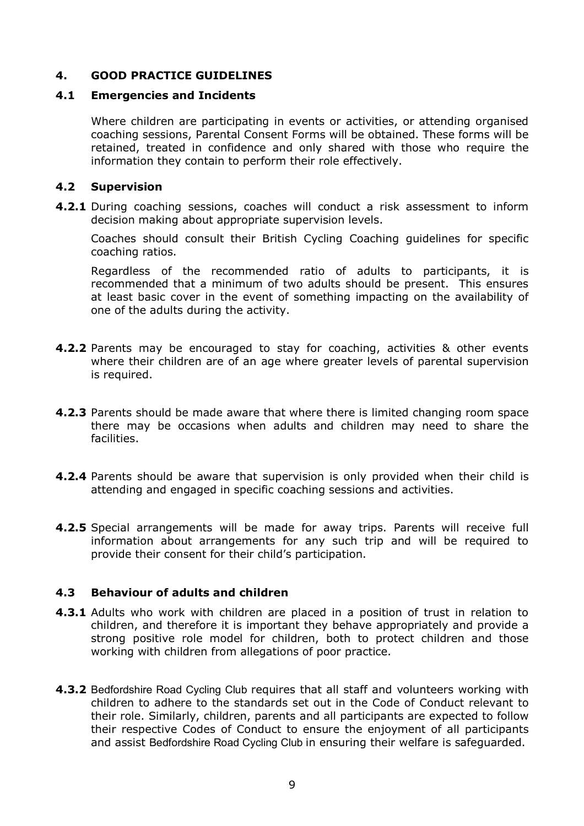### **4. GOOD PRACTICE GUIDELINES**

#### **4.1 Emergencies and Incidents**

Where children are participating in events or activities, or attending organised coaching sessions, Parental Consent Forms will be obtained. These forms will be retained, treated in confidence and only shared with those who require the information they contain to perform their role effectively.

#### **4.2 Supervision**

**4.2.1** During coaching sessions, coaches will conduct a risk assessment to inform decision making about appropriate supervision levels.

Coaches should consult their British Cycling Coaching guidelines for specific coaching ratios.

Regardless of the recommended ratio of adults to participants, it is recommended that a minimum of two adults should be present. This ensures at least basic cover in the event of something impacting on the availability of one of the adults during the activity.

- **4.2.2** Parents may be encouraged to stay for coaching, activities & other events where their children are of an age where greater levels of parental supervision is required.
- **4.2.3** Parents should be made aware that where there is limited changing room space there may be occasions when adults and children may need to share the facilities.
- **4.2.4** Parents should be aware that supervision is only provided when their child is attending and engaged in specific coaching sessions and activities.
- **4.2.5** Special arrangements will be made for away trips. Parents will receive full information about arrangements for any such trip and will be required to provide their consent for their child's participation.

#### **4.3 Behaviour of adults and children**

- **4.3.1** Adults who work with children are placed in a position of trust in relation to children, and therefore it is important they behave appropriately and provide a strong positive role model for children, both to protect children and those working with children from allegations of poor practice.
- **4.3.2** Bedfordshire Road Cycling Club requires that all staff and volunteers working with children to adhere to the standards set out in the Code of Conduct relevant to their role. Similarly, children, parents and all participants are expected to follow their respective Codes of Conduct to ensure the enjoyment of all participants and assist Bedfordshire Road Cycling Club in ensuring their welfare is safeguarded.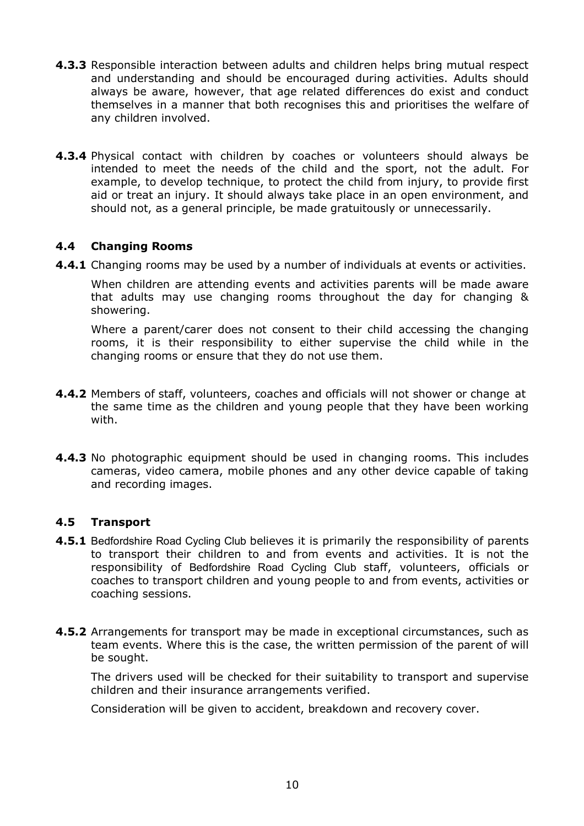- **4.3.3** Responsible interaction between adults and children helps bring mutual respect and understanding and should be encouraged during activities. Adults should always be aware, however, that age related differences do exist and conduct themselves in a manner that both recognises this and prioritises the welfare of any children involved.
- **4.3.4** Physical contact with children by coaches or volunteers should always be intended to meet the needs of the child and the sport, not the adult. For example, to develop technique, to protect the child from injury, to provide first aid or treat an injury. It should always take place in an open environment, and should not, as a general principle, be made gratuitously or unnecessarily.

#### **4.4 Changing Rooms**

**4.4.1** Changing rooms may be used by a number of individuals at events or activities.

When children are attending events and activities parents will be made aware that adults may use changing rooms throughout the day for changing & showering.

Where a parent/carer does not consent to their child accessing the changing rooms, it is their responsibility to either supervise the child while in the changing rooms or ensure that they do not use them.

- **4.4.2** Members of staff, volunteers, coaches and officials will not shower or change at the same time as the children and young people that they have been working with.
- **4.4.3** No photographic equipment should be used in changing rooms. This includes cameras, video camera, mobile phones and any other device capable of taking and recording images.

#### **4.5 Transport**

- **4.5.1** Bedfordshire Road Cycling Club believes it is primarily the responsibility of parents to transport their children to and from events and activities. It is not the responsibility of Bedfordshire Road Cycling Club staff, volunteers, officials or coaches to transport children and young people to and from events, activities or coaching sessions.
- **4.5.2** Arrangements for transport may be made in exceptional circumstances, such as team events. Where this is the case, the written permission of the parent of will be sought.

The drivers used will be checked for their suitability to transport and supervise children and their insurance arrangements verified.

Consideration will be given to accident, breakdown and recovery cover.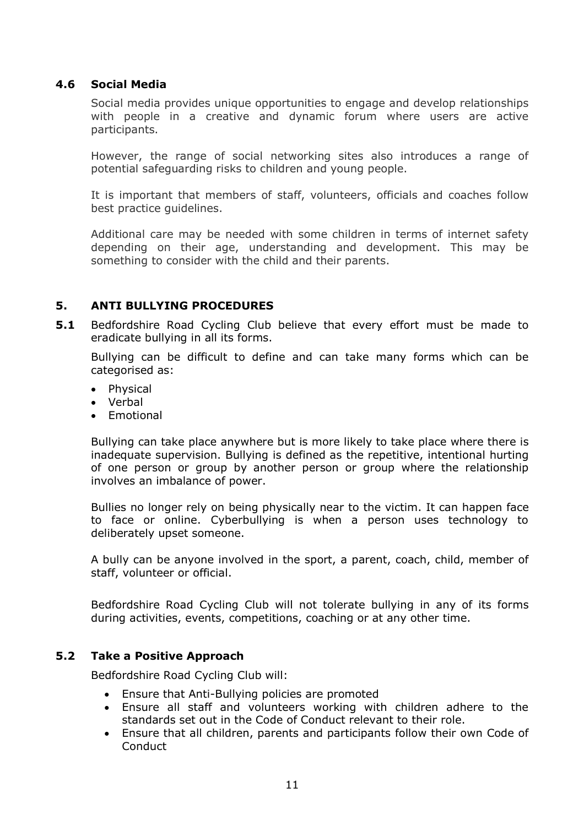#### **4.6 Social Media**

Social media provides unique opportunities to engage and develop relationships with people in a creative and dynamic forum where users are active participants.

However, the range of social networking sites also introduces a range of potential safeguarding risks to children and young people.

It is important that members of staff, volunteers, officials and coaches follow best practice guidelines.

Additional care may be needed with some children in terms of internet safety depending on their age, understanding and development. This may be something to consider with the child and their parents.

### **5. ANTI BULLYING PROCEDURES**

**5.1** Bedfordshire Road Cycling Club believe that every effort must be made to eradicate bullying in all its forms.

Bullying can be difficult to define and can take many forms which can be categorised as:

- Physical
- Verbal
- **Emotional**

Bullying can take place anywhere but is more likely to take place where there is inadequate supervision. Bullying is defined as the repetitive, intentional hurting of one person or group by another person or group where the relationship involves an imbalance of power.

Bullies no longer rely on being physically near to the victim. It can happen face to face or online. Cyberbullying is when a person uses technology to deliberately upset someone.

A bully can be anyone involved in the sport, a parent, coach, child, member of staff, volunteer or official.

Bedfordshire Road Cycling Club will not tolerate bullying in any of its forms during activities, events, competitions, coaching or at any other time.

#### **5.2 Take a Positive Approach**

Bedfordshire Road Cycling Club will:

- Ensure that Anti-Bullying policies are promoted
- Ensure all staff and volunteers working with children adhere to the standards set out in the Code of Conduct relevant to their role.
- Ensure that all children, parents and participants follow their own Code of Conduct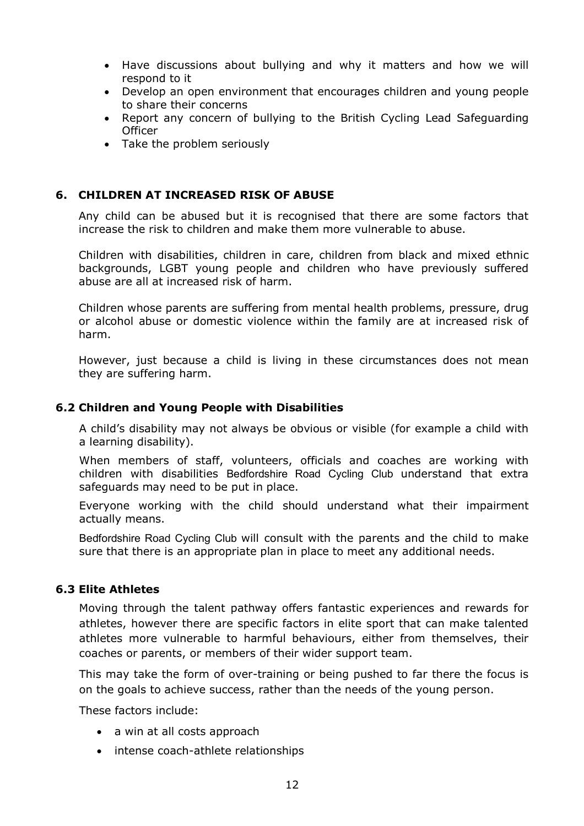- Have discussions about bullying and why it matters and how we will respond to it
- Develop an open environment that encourages children and young people to share their concerns
- Report any concern of bullying to the British Cycling Lead Safeguarding **Officer**
- Take the problem seriously

#### **6. CHILDREN AT INCREASED RISK OF ABUSE**

Any child can be abused but it is recognised that there are some factors that increase the risk to children and make them more vulnerable to abuse.

Children with disabilities, children in care, children from black and mixed ethnic backgrounds, LGBT young people and children who have previously suffered abuse are all at increased risk of harm.

Children whose parents are suffering from mental health problems, pressure, drug or alcohol abuse or domestic violence within the family are at increased risk of harm.

However, just because a child is living in these circumstances does not mean they are suffering harm.

#### **6.2 Children and Young People with Disabilities**

A child's disability may not always be obvious or visible (for example a child with a learning disability).

When members of staff, volunteers, officials and coaches are working with children with disabilities Bedfordshire Road Cycling Club understand that extra safeguards may need to be put in place.

Everyone working with the child should understand what their impairment actually means.

Bedfordshire Road Cycling Club will consult with the parents and the child to make sure that there is an appropriate plan in place to meet any additional needs.

#### **6.3 Elite Athletes**

Moving through the talent pathway offers fantastic experiences and rewards for athletes, however there are specific factors in elite sport that can make talented athletes more vulnerable to harmful behaviours, either from themselves, their coaches or parents, or members of their wider support team.

This may take the form of over-training or being pushed to far there the focus is on the goals to achieve success, rather than the needs of the young person.

These factors include:

- a win at all costs approach
- intense coach-athlete relationships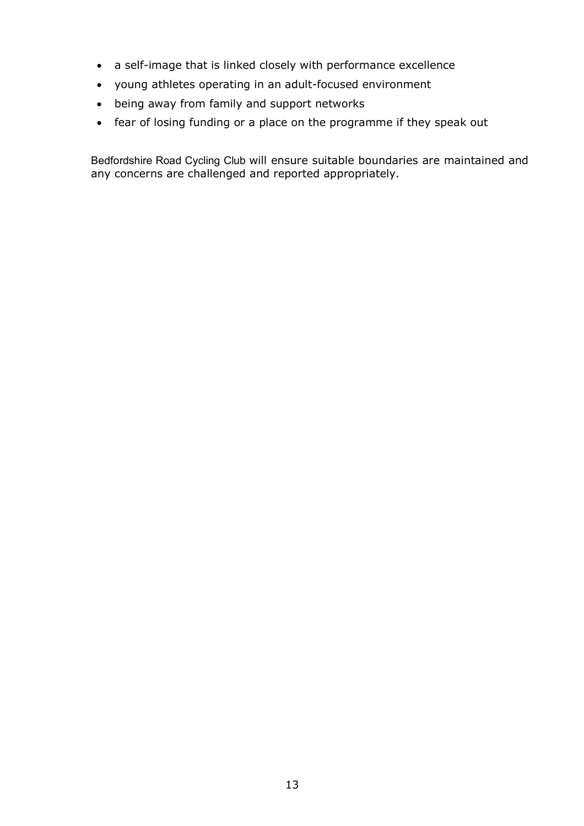- a self-image that is linked closely with performance excellence
- young athletes operating in an adult-focused environment
- being away from family and support networks
- fear of losing funding or a place on the programme if they speak out

Bedfordshire Road Cycling Club will ensure suitable boundaries are maintained and any concerns are challenged and reported appropriately.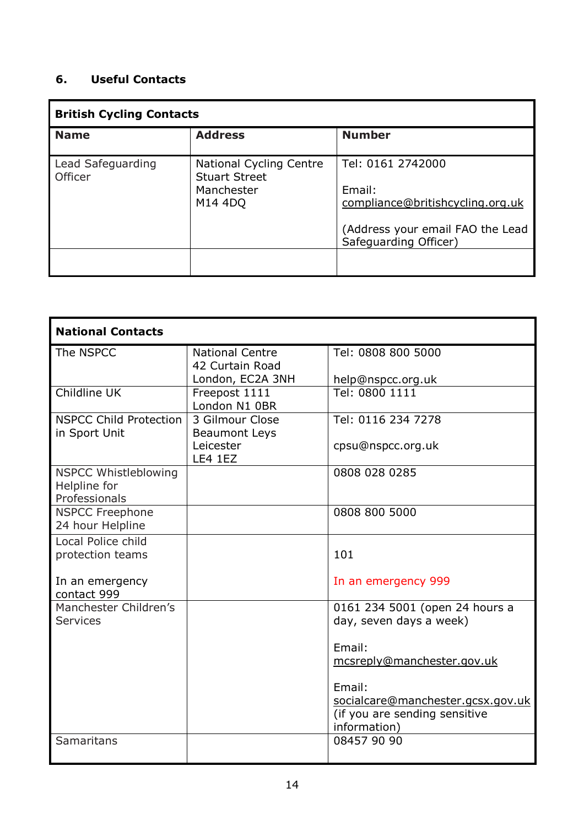# **6. Useful Contacts**

| <b>British Cycling Contacts</b> |                                                        |                                                           |  |
|---------------------------------|--------------------------------------------------------|-----------------------------------------------------------|--|
| <b>Name</b>                     | <b>Address</b>                                         | <b>Number</b>                                             |  |
| Lead Safeguarding<br>Officer    | <b>National Cycling Centre</b><br><b>Stuart Street</b> | Tel: 0161 2742000                                         |  |
|                                 | Manchester                                             | Email:                                                    |  |
|                                 | M14 4DO                                                | compliance@britishcycling.org.uk                          |  |
|                                 |                                                        | (Address your email FAO the Lead<br>Safeguarding Officer) |  |
|                                 |                                                        |                                                           |  |

| <b>National Contacts</b>       |                        |                                   |  |
|--------------------------------|------------------------|-----------------------------------|--|
| The NSPCC                      | <b>National Centre</b> | Tel: 0808 800 5000                |  |
|                                | 42 Curtain Road        |                                   |  |
|                                | London, EC2A 3NH       | help@nspcc.org.uk                 |  |
| Childline UK                   | Freepost 1111          | Tel: 0800 1111                    |  |
|                                | London N1 0BR          |                                   |  |
| <b>NSPCC Child Protection</b>  | 3 Gilmour Close        | Tel: 0116 234 7278                |  |
| in Sport Unit                  | <b>Beaumont Leys</b>   |                                   |  |
|                                | Leicester              | cpsu@nspcc.org.uk                 |  |
|                                | <b>LE4 1EZ</b>         |                                   |  |
| <b>NSPCC Whistleblowing</b>    |                        | 0808 028 0285                     |  |
| Helpline for                   |                        |                                   |  |
| Professionals                  |                        |                                   |  |
| <b>NSPCC Freephone</b>         |                        | 0808 800 5000                     |  |
| 24 hour Helpline               |                        |                                   |  |
| Local Police child             |                        |                                   |  |
| protection teams               |                        | 101                               |  |
|                                |                        |                                   |  |
| In an emergency<br>contact 999 |                        | In an emergency 999               |  |
| Manchester Children's          |                        | 0161 234 5001 (open 24 hours a    |  |
| <b>Services</b>                |                        | day, seven days a week)           |  |
|                                |                        |                                   |  |
|                                |                        | Email:                            |  |
|                                |                        | mcsreply@manchester.gov.uk        |  |
|                                |                        |                                   |  |
|                                |                        | Email:                            |  |
|                                |                        | socialcare@manchester.gcsx.gov.uk |  |
|                                |                        | (if you are sending sensitive     |  |
|                                |                        | information)                      |  |
| Samaritans                     |                        | 08457 90 90                       |  |
|                                |                        |                                   |  |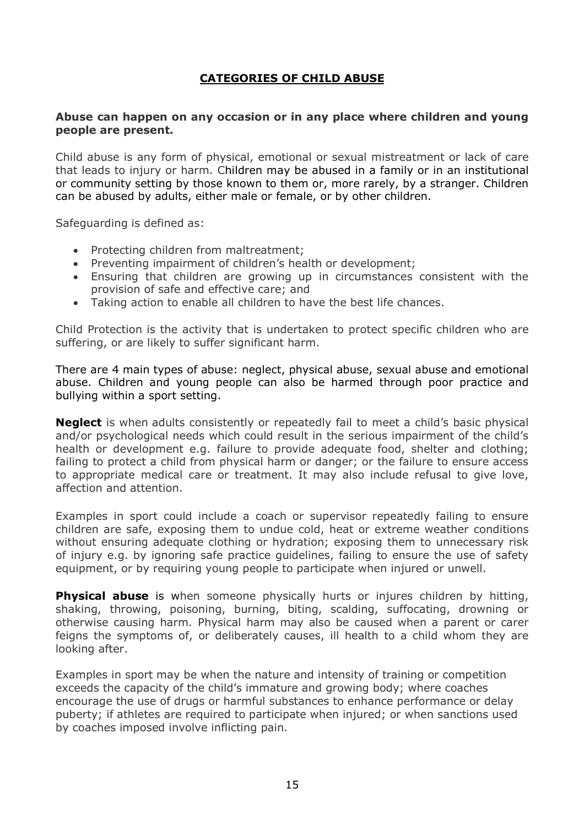## **CATEGORIES OF CHILD ABUSE**

#### **Abuse can happen on any occasion or in any place where children and young people are present.**

Child abuse is any form of physical, emotional or sexual mistreatment or lack of care that leads to injury or harm. Children may be abused in a family or in an institutional or community setting by those known to them or, more rarely, by a stranger. Children can be abused by adults, either male or female, or by other children.

Safeguarding is defined as:

- Protecting children from maltreatment;
- Preventing impairment of children's health or development;
- Ensuring that children are growing up in circumstances consistent with the provision of safe and effective care; and
- Taking action to enable all children to have the best life chances.

Child Protection is the activity that is undertaken to protect specific children who are suffering, or are likely to suffer significant harm.

There are 4 main types of abuse: neglect, physical abuse, sexual abuse and emotional abuse. Children and young people can also be harmed through poor practice and bullying within a sport setting.

**Neglect** is when adults consistently or repeatedly fail to meet a child's basic physical and/or psychological needs which could result in the serious impairment of the child's health or development e.g. failure to provide adequate food, shelter and clothing; failing to protect a child from physical harm or danger; or the failure to ensure access to appropriate medical care or treatment. It may also include refusal to give love, affection and attention.

Examples in sport could include a coach or supervisor repeatedly failing to ensure children are safe, exposing them to undue cold, heat or extreme weather conditions without ensuring adequate clothing or hydration; exposing them to unnecessary risk of injury e.g. by ignoring safe practice guidelines, failing to ensure the use of safety equipment, or by requiring young people to participate when injured or unwell.

**Physical abuse** is when someone physically hurts or injures children by hitting, shaking, throwing, poisoning, burning, biting, scalding, suffocating, drowning or otherwise causing harm. Physical harm may also be caused when a parent or carer feigns the symptoms of, or deliberately causes, ill health to a child whom they are looking after.

Examples in sport may be when the nature and intensity of training or competition exceeds the capacity of the child's immature and growing body; where coaches encourage the use of drugs or harmful substances to enhance performance or delay puberty; if athletes are required to participate when injured; or when sanctions used by coaches imposed involve inflicting pain.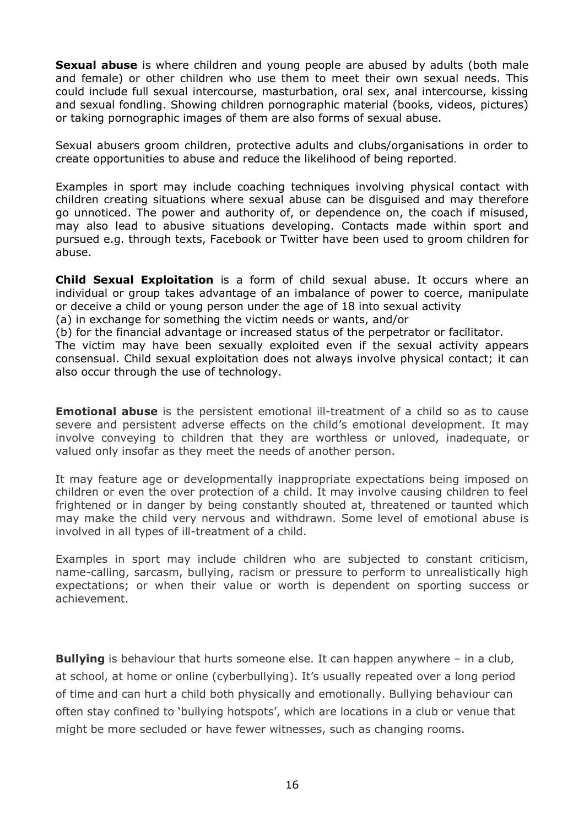**Sexual abuse** is where children and young people are abused by adults (both male and female) or other children who use them to meet their own sexual needs. This could include full sexual intercourse, masturbation, oral sex, anal intercourse, kissing and sexual fondling. Showing children pornographic material (books, videos, pictures) or taking pornographic images of them are also forms of sexual abuse.

Sexual abusers groom children, protective adults and clubs/organisations in order to create opportunities to abuse and reduce the likelihood of being reported.

Examples in sport may include coaching techniques involving physical contact with children creating situations where sexual abuse can be disguised and may therefore go unnoticed. The power and authority of, or dependence on, the coach if misused, may also lead to abusive situations developing. Contacts made within sport and pursued e.g. through texts, Facebook or Twitter have been used to groom children for abuse.

**Child Sexual Exploitation** is a form of child sexual abuse. It occurs where an individual or group takes advantage of an imbalance of power to coerce, manipulate or deceive a child or young person under the age of 18 into sexual activity

(a) in exchange for something the victim needs or wants, and/or

(b) for the financial advantage or increased status of the perpetrator or facilitator.

The victim may have been sexually exploited even if the sexual activity appears consensual. Child sexual exploitation does not always involve physical contact; it can also occur through the use of technology.

**Emotional abuse** is the persistent emotional ill-treatment of a child so as to cause severe and persistent adverse effects on the child's emotional development. It may involve conveying to children that they are worthless or unloved, inadequate, or valued only insofar as they meet the needs of another person.

It may feature age or developmentally inappropriate expectations being imposed on children or even the over protection of a child. It may involve causing children to feel frightened or in danger by being constantly shouted at, threatened or taunted which may make the child very nervous and withdrawn. Some level of emotional abuse is involved in all types of ill-treatment of a child.

Examples in sport may include children who are subjected to constant criticism, name-calling, sarcasm, bullying, racism or pressure to perform to unrealistically high expectations; or when their value or worth is dependent on sporting success or achievement.

**Bullying** is behaviour that hurts someone else. It can happen anywhere – in a club, at school, at home or online (cyberbullying). It's usually repeated over a long period of time and can hurt a child both physically and emotionally. Bullying behaviour can often stay confined to 'bullying hotspots', which are locations in a club or venue that might be more secluded or have fewer witnesses, such as changing rooms.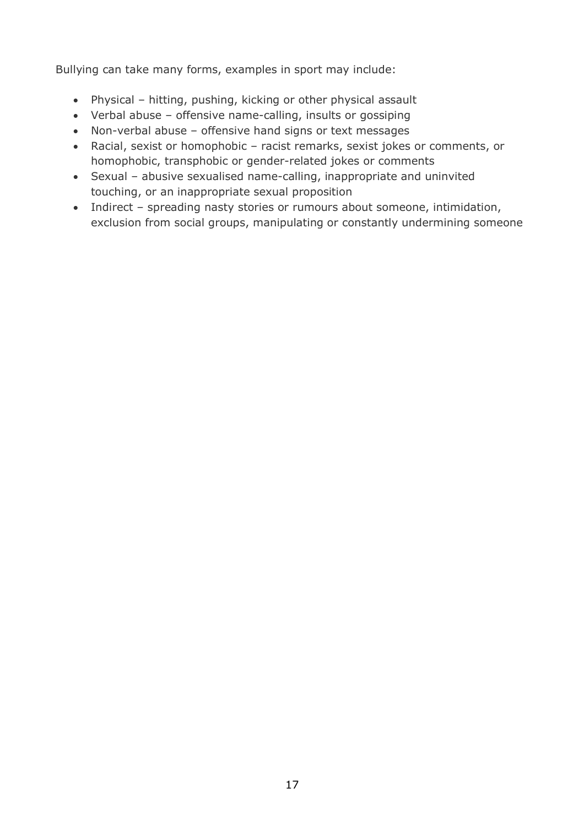Bullying can take many forms, examples in sport may include:

- Physical hitting, pushing, kicking or other physical assault
- Verbal abuse offensive name-calling, insults or gossiping
- Non-verbal abuse offensive hand signs or text messages
- Racial, sexist or homophobic racist remarks, sexist jokes or comments, or homophobic, transphobic or gender-related jokes or comments
- Sexual abusive sexualised name-calling, inappropriate and uninvited touching, or an inappropriate sexual proposition
- Indirect spreading nasty stories or rumours about someone, intimidation, exclusion from social groups, manipulating or constantly undermining someone